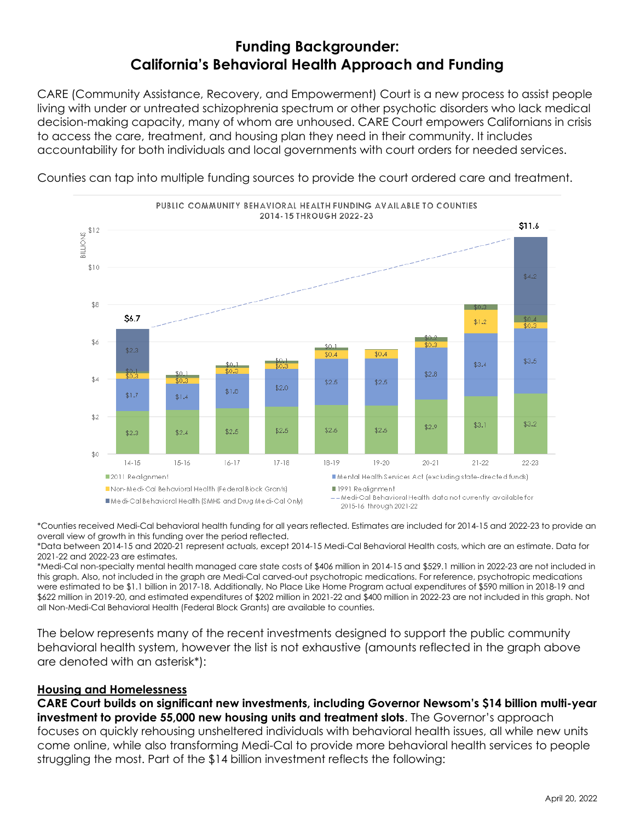# **Funding Backgrounder: California's Behavioral Health Approach and Funding**

CARE (Community Assistance, Recovery, and Empowerment) Court is a new process to assist people living with under or untreated schizophrenia spectrum or other psychotic disorders who lack medical decision-making capacity, many of whom are unhoused. CARE Court empowers Californians in crisis to access the care, treatment, and housing plan they need in their community. It includes accountability for both individuals and local governments with court orders for needed services.



Counties can tap into multiple funding sources to provide the court ordered care and treatment.

\*Counties received Medi-Cal behavioral health funding for all years reflected. Estimates are included for 2014-15 and 2022-23 to provide an overall view of growth in this funding over the period reflected.

\*Data between 2014-15 and 2020-21 represent actuals, except 2014-15 Medi-Cal Behavioral Health costs, which are an estimate. Data for 2021-22 and 2022-23 are estimates.

\*Medi-Cal non-specialty mental health managed care state costs of \$406 million in 2014-15 and \$529.1 million in 2022-23 are not included in this graph. Also, not included in the graph are Medi-Cal carved-out psychotropic medications. For reference, psychotropic medications were estimated to be \$1.1 billion in 2017-18. Additionally, No Place Like Home Program actual expenditures of \$590 million in 2018-19 and \$622 million in 2019-20, and estimated expenditures of \$202 million in 2021-22 and \$400 million in 2022-23 are not included in this graph. Not all Non-Medi-Cal Behavioral Health (Federal Block Grants) are available to counties.

The below represents many of the recent investments designed to support the public community behavioral health system, however the list is not exhaustive (amounts reflected in the graph above are denoted with an asterisk\*):

#### **Housing and Homelessness**

**CARE Court builds on significant new investments, including Governor Newsom's \$14 billion multi-year investment to provide 55,000 new housing units and treatment slots**. The Governor's approach focuses on quickly rehousing unsheltered individuals with behavioral health issues, all while new units come online, while also transforming Medi-Cal to provide more behavioral health services to people struggling the most. Part of the \$14 billion investment reflects the following: